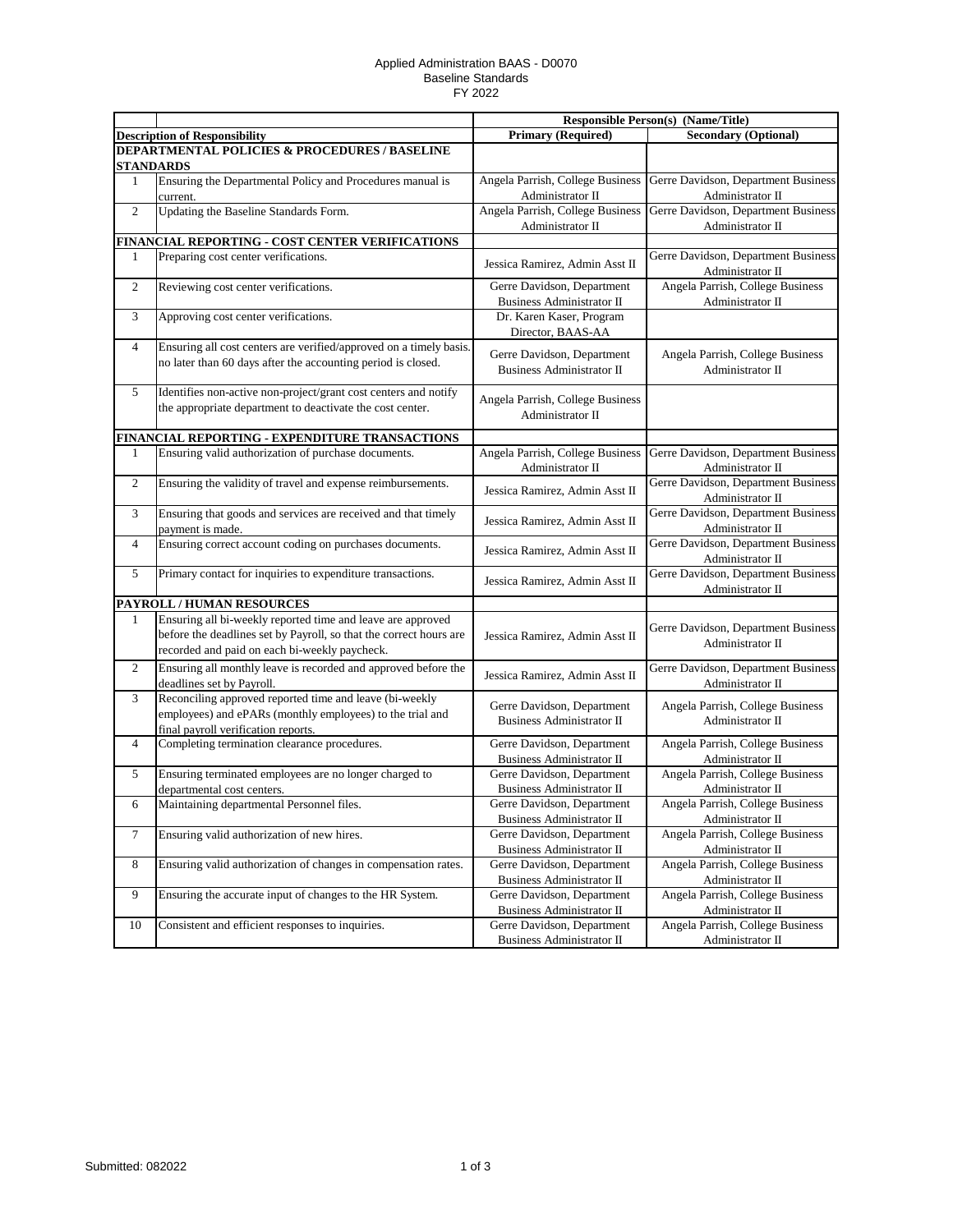## Applied Administration BAAS - D0070 Baseline Standards FY 2022

|                                               |                                                                                                                                                                                    | <b>Responsible Person(s) (Name/Title)</b>                      |                                                         |  |  |  |
|-----------------------------------------------|------------------------------------------------------------------------------------------------------------------------------------------------------------------------------------|----------------------------------------------------------------|---------------------------------------------------------|--|--|--|
|                                               | <b>Description of Responsibility</b>                                                                                                                                               | <b>Primary (Required)</b>                                      | <b>Secondary (Optional)</b>                             |  |  |  |
| DEPARTMENTAL POLICIES & PROCEDURES / BASELINE |                                                                                                                                                                                    |                                                                |                                                         |  |  |  |
|                                               | <b>STANDARDS</b>                                                                                                                                                                   |                                                                |                                                         |  |  |  |
| 1                                             | Ensuring the Departmental Policy and Procedures manual is                                                                                                                          | Angela Parrish, College Business                               | Gerre Davidson, Department Business                     |  |  |  |
|                                               | current.                                                                                                                                                                           | Administrator II                                               | Administrator II                                        |  |  |  |
| $\overline{2}$                                | Updating the Baseline Standards Form.                                                                                                                                              | Angela Parrish, College Business                               | Gerre Davidson, Department Business                     |  |  |  |
|                                               |                                                                                                                                                                                    | Administrator II                                               | Administrator II                                        |  |  |  |
|                                               | <b>FINANCIAL REPORTING - COST CENTER VERIFICATIONS</b>                                                                                                                             |                                                                |                                                         |  |  |  |
| 1                                             | Preparing cost center verifications.                                                                                                                                               | Jessica Ramirez, Admin Asst II                                 | Gerre Davidson, Department Business<br>Administrator II |  |  |  |
| $\mathbf{2}$                                  | Reviewing cost center verifications.                                                                                                                                               | Gerre Davidson, Department                                     | Angela Parrish, College Business                        |  |  |  |
|                                               |                                                                                                                                                                                    | <b>Business Administrator II</b>                               | Administrator II                                        |  |  |  |
| 3                                             | Approving cost center verifications.                                                                                                                                               | Dr. Karen Kaser, Program                                       |                                                         |  |  |  |
|                                               |                                                                                                                                                                                    | Director, BAAS-AA                                              |                                                         |  |  |  |
| 4                                             | Ensuring all cost centers are verified/approved on a timely basis.<br>no later than 60 days after the accounting period is closed.                                                 | Gerre Davidson, Department<br><b>Business Administrator II</b> | Angela Parrish, College Business<br>Administrator II    |  |  |  |
| 5                                             | Identifies non-active non-project/grant cost centers and notify<br>the appropriate department to deactivate the cost center.                                                       | Angela Parrish, College Business<br>Administrator II           |                                                         |  |  |  |
|                                               | FINANCIAL REPORTING - EXPENDITURE TRANSACTIONS                                                                                                                                     |                                                                |                                                         |  |  |  |
| 1                                             | Ensuring valid authorization of purchase documents.                                                                                                                                | Angela Parrish, College Business                               | Gerre Davidson, Department Business                     |  |  |  |
|                                               |                                                                                                                                                                                    | Administrator II                                               | Administrator II                                        |  |  |  |
| $\mathbf{2}$                                  | Ensuring the validity of travel and expense reimbursements.                                                                                                                        | Jessica Ramirez, Admin Asst II                                 | Gerre Davidson, Department Business<br>Administrator II |  |  |  |
| 3                                             | Ensuring that goods and services are received and that timely                                                                                                                      |                                                                | Gerre Davidson, Department Business                     |  |  |  |
|                                               | payment is made.                                                                                                                                                                   | Jessica Ramirez, Admin Asst II                                 | Administrator II                                        |  |  |  |
| 4                                             | Ensuring correct account coding on purchases documents.                                                                                                                            | Jessica Ramirez, Admin Asst II                                 | Gerre Davidson, Department Business<br>Administrator II |  |  |  |
| 5                                             | Primary contact for inquiries to expenditure transactions.                                                                                                                         | Jessica Ramirez, Admin Asst II                                 | Gerre Davidson, Department Business<br>Administrator II |  |  |  |
|                                               | PAYROLL / HUMAN RESOURCES                                                                                                                                                          |                                                                |                                                         |  |  |  |
| 1                                             | Ensuring all bi-weekly reported time and leave are approved<br>before the deadlines set by Payroll, so that the correct hours are<br>recorded and paid on each bi-weekly paycheck. | Jessica Ramirez, Admin Asst II                                 | Gerre Davidson, Department Business<br>Administrator II |  |  |  |
| $\mathfrak{2}$                                | Ensuring all monthly leave is recorded and approved before the<br>deadlines set by Payroll.                                                                                        | Jessica Ramirez, Admin Asst II                                 | Gerre Davidson, Department Business<br>Administrator II |  |  |  |
| 3                                             | Reconciling approved reported time and leave (bi-weekly<br>employees) and ePARs (monthly employees) to the trial and<br>final payroll verification reports.                        | Gerre Davidson, Department<br><b>Business Administrator II</b> | Angela Parrish, College Business<br>Administrator II    |  |  |  |
| 4                                             | Completing termination clearance procedures.                                                                                                                                       | Gerre Davidson, Department<br><b>Business Administrator II</b> | Angela Parrish, College Business<br>Administrator II    |  |  |  |
| 5                                             | Ensuring terminated employees are no longer charged to                                                                                                                             | Gerre Davidson, Department                                     | Angela Parrish, College Business                        |  |  |  |
|                                               | departmental cost centers.                                                                                                                                                         | <b>Business Administrator II</b>                               | Administrator II                                        |  |  |  |
| 6                                             | Maintaining departmental Personnel files.                                                                                                                                          | Gerre Davidson, Department<br><b>Business Administrator II</b> | Angela Parrish, College Business<br>Administrator II    |  |  |  |
| 7                                             | Ensuring valid authorization of new hires.                                                                                                                                         | Gerre Davidson, Department                                     | Angela Parrish, College Business                        |  |  |  |
|                                               |                                                                                                                                                                                    | Business Administrator II                                      | Administrator II                                        |  |  |  |
| 8                                             | Ensuring valid authorization of changes in compensation rates.                                                                                                                     | Gerre Davidson, Department                                     | Angela Parrish, College Business                        |  |  |  |
|                                               |                                                                                                                                                                                    | Business Administrator II                                      | Administrator II                                        |  |  |  |
| 9                                             | Ensuring the accurate input of changes to the HR System.                                                                                                                           | Gerre Davidson, Department                                     | Angela Parrish, College Business                        |  |  |  |
|                                               |                                                                                                                                                                                    | Business Administrator II                                      | Administrator II                                        |  |  |  |
| 10                                            | Consistent and efficient responses to inquiries.                                                                                                                                   | Gerre Davidson, Department                                     | Angela Parrish, College Business                        |  |  |  |
|                                               |                                                                                                                                                                                    | Business Administrator II                                      | Administrator II                                        |  |  |  |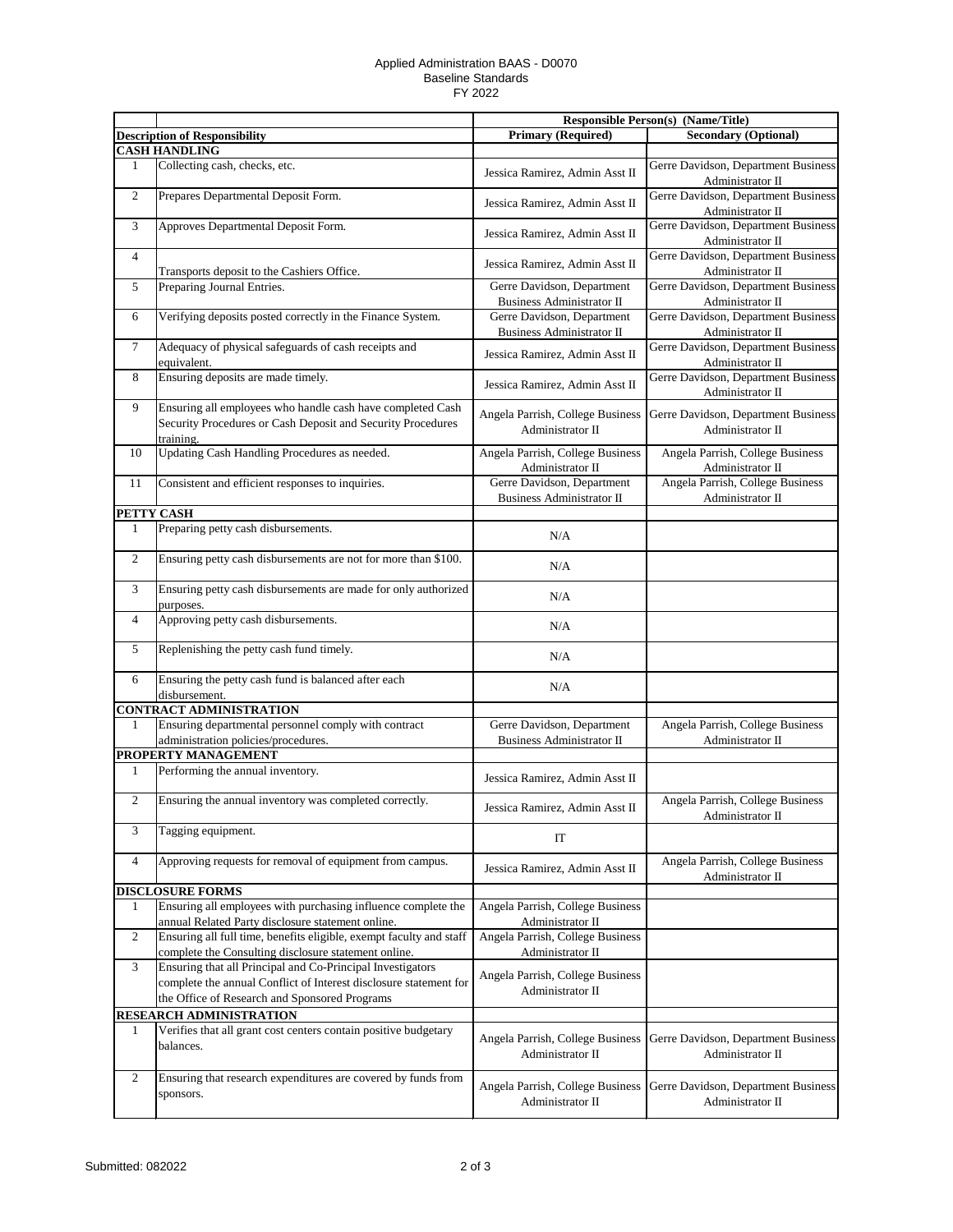## Applied Administration BAAS - D0070 Baseline Standards FY 2022

|                |                                                                                                                             | <b>Responsible Person(s) (Name/Title)</b>                      |                                                         |
|----------------|-----------------------------------------------------------------------------------------------------------------------------|----------------------------------------------------------------|---------------------------------------------------------|
|                | <b>Description of Responsibility</b>                                                                                        | <b>Primary (Required)</b>                                      | <b>Secondary (Optional)</b>                             |
|                | <b>CASH HANDLING</b>                                                                                                        |                                                                |                                                         |
| 1              | Collecting cash, checks, etc.                                                                                               | Jessica Ramirez, Admin Asst II                                 | Gerre Davidson, Department Business<br>Administrator II |
| $\sqrt{2}$     | Prepares Departmental Deposit Form.                                                                                         | Jessica Ramirez, Admin Asst II                                 | Gerre Davidson, Department Business<br>Administrator II |
| 3              | Approves Departmental Deposit Form.                                                                                         | Jessica Ramirez, Admin Asst II                                 | Gerre Davidson, Department Business<br>Administrator II |
| $\overline{4}$ | Transports deposit to the Cashiers Office.                                                                                  | Jessica Ramirez, Admin Asst II                                 | Gerre Davidson, Department Business<br>Administrator II |
| $\sqrt{5}$     | Preparing Journal Entries.                                                                                                  | Gerre Davidson, Department<br><b>Business Administrator II</b> | Gerre Davidson, Department Business<br>Administrator II |
| 6              | Verifying deposits posted correctly in the Finance System.                                                                  | Gerre Davidson, Department<br>Business Administrator II        | Gerre Davidson, Department Business<br>Administrator II |
| $\tau$         | Adequacy of physical safeguards of cash receipts and<br>equivalent.                                                         | Jessica Ramirez, Admin Asst II                                 | Gerre Davidson, Department Business<br>Administrator II |
| 8              | Ensuring deposits are made timely.                                                                                          | Jessica Ramirez, Admin Asst II                                 | Gerre Davidson, Department Business<br>Administrator II |
| 9              | Ensuring all employees who handle cash have completed Cash                                                                  | Angela Parrish, College Business                               | Gerre Davidson, Department Business                     |
|                | Security Procedures or Cash Deposit and Security Procedures<br>training.                                                    | Administrator II                                               | Administrator II                                        |
| 10             | Updating Cash Handling Procedures as needed.                                                                                | Angela Parrish, College Business<br>Administrator II           | Angela Parrish, College Business<br>Administrator II    |
| 11             | Consistent and efficient responses to inquiries.                                                                            | Gerre Davidson, Department                                     | Angela Parrish, College Business                        |
|                |                                                                                                                             | <b>Business Administrator II</b>                               | Administrator II                                        |
| PETTY CASH     |                                                                                                                             |                                                                |                                                         |
| 1              | Preparing petty cash disbursements.                                                                                         | N/A                                                            |                                                         |
| $\overline{2}$ | Ensuring petty cash disbursements are not for more than \$100.                                                              | N/A                                                            |                                                         |
| 3              | Ensuring petty cash disbursements are made for only authorized<br>purposes.                                                 | N/A                                                            |                                                         |
| $\overline{4}$ | Approving petty cash disbursements.                                                                                         | N/A                                                            |                                                         |
| 5              | Replenishing the petty cash fund timely.                                                                                    | N/A                                                            |                                                         |
| 6              | Ensuring the petty cash fund is balanced after each<br>disbursement.                                                        | N/A                                                            |                                                         |
|                | <b>CONTRACT ADMINISTRATION</b>                                                                                              |                                                                |                                                         |
| 1              | Ensuring departmental personnel comply with contract<br>administration policies/procedures.                                 | Gerre Davidson, Department<br><b>Business Administrator II</b> | Angela Parrish, College Business<br>Administrator II    |
|                | PROPERTY MANAGEMENT                                                                                                         |                                                                |                                                         |
| $\mathbf{1}$   | Performing the annual inventory.                                                                                            | Jessica Ramirez, Admin Asst II                                 |                                                         |
| $\overline{2}$ | Ensuring the annual inventory was completed correctly.                                                                      | Jessica Ramirez, Admin Asst II                                 | Angela Parrish, College Business<br>Administrator II    |
| 3              | Tagging equipment.                                                                                                          | IT                                                             |                                                         |
| $\overline{4}$ | Approving requests for removal of equipment from campus.                                                                    | Jessica Ramirez, Admin Asst II                                 | Angela Parrish, College Business<br>Administrator II    |
|                | <b>DISCLOSURE FORMS</b>                                                                                                     |                                                                |                                                         |
| 1              | Ensuring all employees with purchasing influence complete the<br>annual Related Party disclosure statement online.          | Angela Parrish, College Business<br>Administrator II           |                                                         |
| $\overline{2}$ | Ensuring all full time, benefits eligible, exempt faculty and staff<br>complete the Consulting disclosure statement online. | Angela Parrish, College Business<br>Administrator II           |                                                         |
| 3              | Ensuring that all Principal and Co-Principal Investigators                                                                  |                                                                |                                                         |
|                | complete the annual Conflict of Interest disclosure statement for<br>the Office of Research and Sponsored Programs          | Angela Parrish, College Business<br>Administrator II           |                                                         |
|                | RESEARCH ADMINISTRATION                                                                                                     |                                                                |                                                         |
| 1              | Verifies that all grant cost centers contain positive budgetary                                                             |                                                                |                                                         |
|                | balances.                                                                                                                   | Angela Parrish, College Business<br>Administrator II           | Gerre Davidson, Department Business<br>Administrator II |
| $\overline{2}$ | Ensuring that research expenditures are covered by funds from<br>sponsors.                                                  | Angela Parrish, College Business<br>Administrator II           | Gerre Davidson, Department Business<br>Administrator II |